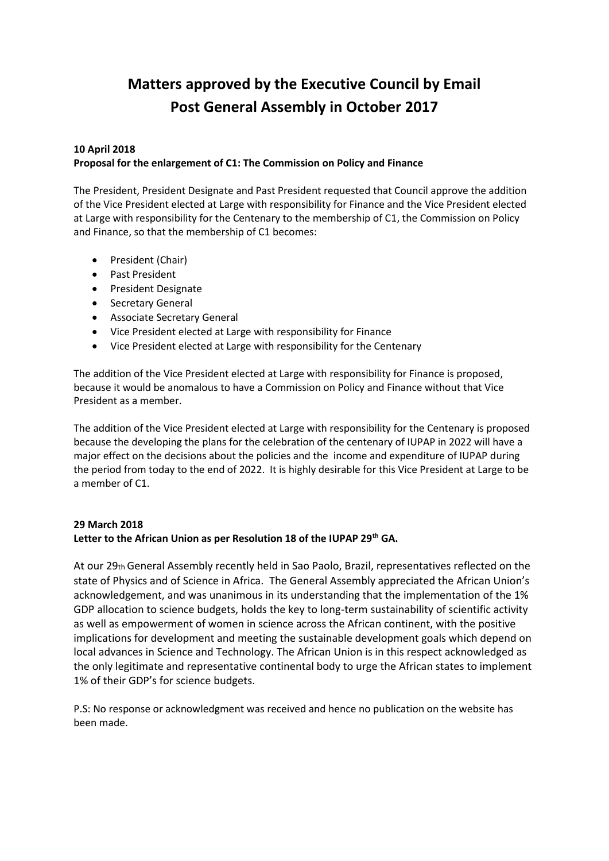# **Matters approved by the Executive Council by Email Post General Assembly in October 2017**

## **10 April 2018 Proposal for the enlargement of C1: The Commission on Policy and Finance**

The President, President Designate and Past President requested that Council approve the addition of the Vice President elected at Large with responsibility for Finance and the Vice President elected at Large with responsibility for the Centenary to the membership of C1, the Commission on Policy and Finance, so that the membership of C1 becomes:

- President (Chair)
- Past President
- President Designate
- Secretary General
- Associate Secretary General
- Vice President elected at Large with responsibility for Finance
- Vice President elected at Large with responsibility for the Centenary

The addition of the Vice President elected at Large with responsibility for Finance is proposed, because it would be anomalous to have a Commission on Policy and Finance without that Vice President as a member.

The addition of the Vice President elected at Large with responsibility for the Centenary is proposed because the developing the plans for the celebration of the centenary of IUPAP in 2022 will have a major effect on the decisions about the policies and the income and expenditure of IUPAP during the period from today to the end of 2022. It is highly desirable for this Vice President at Large to be a member of C1.

## **29 March 2018**

#### **Letter to the African Union as per Resolution 18 of the IUPAP 29th GA.**

At our 29th General Assembly recently held in Sao Paolo, Brazil, representatives reflected on the state of Physics and of Science in Africa. The General Assembly appreciated the African Union's acknowledgement, and was unanimous in its understanding that the implementation of the 1% GDP allocation to science budgets, holds the key to long-term sustainability of scientific activity as well as empowerment of women in science across the African continent, with the positive implications for development and meeting the sustainable development goals which depend on local advances in Science and Technology. The African Union is in this respect acknowledged as the only legitimate and representative continental body to urge the African states to implement 1% of their GDP's for science budgets.

P.S: No response or acknowledgment was received and hence no publication on the website has been made.